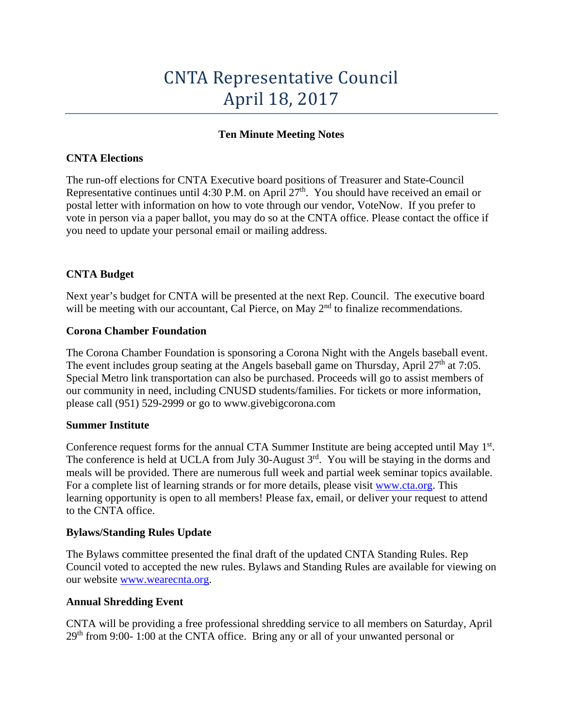# CNTA Representative Council April 18, 2017

## **Ten Minute Meeting Notes**

### **CNTA Elections**

The run-off elections for CNTA Executive board positions of Treasurer and State-Council Representative continues until 4:30 P.M. on April  $27<sup>th</sup>$ . You should have received an email or postal letter with information on how to vote through our vendor, VoteNow. If you prefer to vote in person via a paper ballot, you may do so at the CNTA office. Please contact the office if you need to update your personal email or mailing address.

## **CNTA Budget**

Next year's budget for CNTA will be presented at the next Rep. Council. The executive board will be meeting with our accountant, Cal Pierce, on May 2<sup>nd</sup> to finalize recommendations.

#### **Corona Chamber Foundation**

The Corona Chamber Foundation is sponsoring a Corona Night with the Angels baseball event. The event includes group seating at the Angels baseball game on Thursday, April  $27<sup>th</sup>$  at 7:05. Special Metro link transportation can also be purchased. Proceeds will go to assist members of our community in need, including CNUSD students/families. For tickets or more information, please call (951) 529-2999 or go to www.givebigcorona.com

#### **Summer Institute**

Conference request forms for the annual CTA Summer Institute are being accepted until May 1<sup>st</sup>. The conference is held at UCLA from July 30-August 3<sup>rd</sup>. You will be staying in the dorms and meals will be provided. There are numerous full week and partial week seminar topics available. For a complete list of learning strands or for more details, please visit [www.cta.org.](http://www.cta.org/) This learning opportunity is open to all members! Please fax, email, or deliver your request to attend to the CNTA office.

#### **Bylaws/Standing Rules Update**

The Bylaws committee presented the final draft of the updated CNTA Standing Rules. Rep Council voted to accepted the new rules. Bylaws and Standing Rules are available for viewing on our website [www.wearecnta.org.](http://www.wearecnta.org/)

#### **Annual Shredding Event**

CNTA will be providing a free professional shredding service to all members on Saturday, April  $29<sup>th</sup>$  from 9:00- 1:00 at the CNTA office. Bring any or all of your unwanted personal or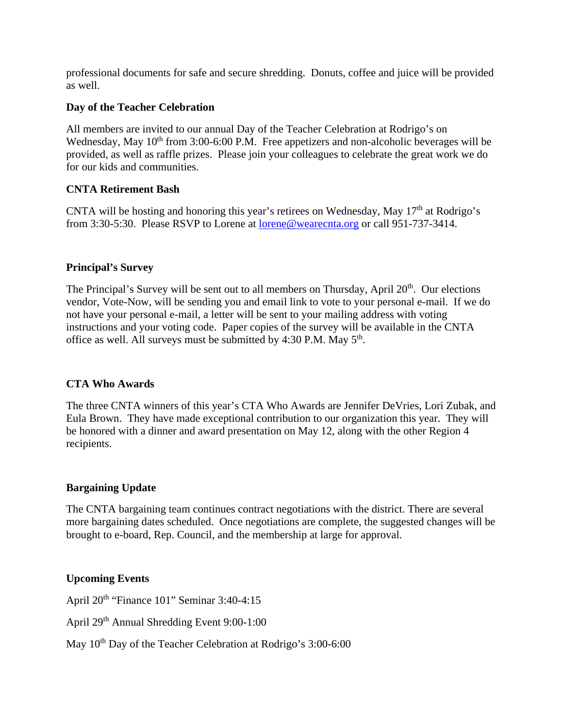professional documents for safe and secure shredding. Donuts, coffee and juice will be provided as well.

#### **Day of the Teacher Celebration**

All members are invited to our annual Day of the Teacher Celebration at Rodrigo's on Wednesday, May  $10<sup>th</sup>$  from 3:00-6:00 P.M. Free appetizers and non-alcoholic beverages will be provided, as well as raffle prizes. Please join your colleagues to celebrate the great work we do for our kids and communities.

## **CNTA Retirement Bash**

CNTA will be hosting and honoring this year's retirees on Wednesday, May  $17<sup>th</sup>$  at Rodrigo's from 3:30-5:30. Please RSVP to Lorene at [lorene@wearecnta.org](mailto:lorene@wearecnta.org) or call 951-737-3414.

## **Principal's Survey**

The Principal's Survey will be sent out to all members on Thursday, April  $20<sup>th</sup>$ . Our elections vendor, Vote-Now, will be sending you and email link to vote to your personal e-mail. If we do not have your personal e-mail, a letter will be sent to your mailing address with voting instructions and your voting code. Paper copies of the survey will be available in the CNTA office as well. All surveys must be submitted by  $4:30$  P.M. May  $5<sup>th</sup>$ .

## **CTA Who Awards**

The three CNTA winners of this year's CTA Who Awards are Jennifer DeVries, Lori Zubak, and Eula Brown. They have made exceptional contribution to our organization this year. They will be honored with a dinner and award presentation on May 12, along with the other Region 4 recipients.

## **Bargaining Update**

The CNTA bargaining team continues contract negotiations with the district. There are several more bargaining dates scheduled. Once negotiations are complete, the suggested changes will be brought to e-board, Rep. Council, and the membership at large for approval.

## **Upcoming Events**

April 20<sup>th</sup> "Finance 101" Seminar 3:40-4:15

April 29th Annual Shredding Event 9:00-1:00

May  $10^{th}$  Day of the Teacher Celebration at Rodrigo's  $3:00-6:00$